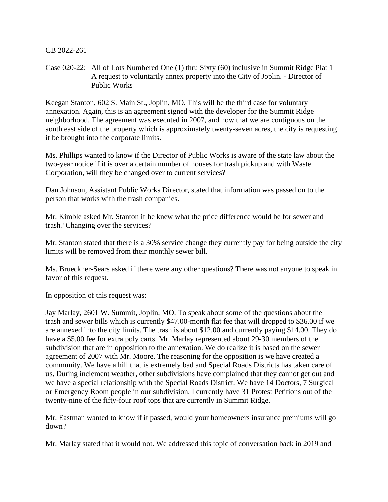## CB 2022-261

Case 020-22: All of Lots Numbered One (1) thru Sixty (60) inclusive in Summit Ridge Plat 1 – A request to voluntarily annex property into the City of Joplin. - Director of Public Works

Keegan Stanton, 602 S. Main St., Joplin, MO. This will be the third case for voluntary annexation. Again, this is an agreement signed with the developer for the Summit Ridge neighborhood. The agreement was executed in 2007, and now that we are contiguous on the south east side of the property which is approximately twenty-seven acres, the city is requesting it be brought into the corporate limits.

Ms. Phillips wanted to know if the Director of Public Works is aware of the state law about the two-year notice if it is over a certain number of houses for trash pickup and with Waste Corporation, will they be changed over to current services?

Dan Johnson, Assistant Public Works Director, stated that information was passed on to the person that works with the trash companies.

Mr. Kimble asked Mr. Stanton if he knew what the price difference would be for sewer and trash? Changing over the services?

Mr. Stanton stated that there is a 30% service change they currently pay for being outside the city limits will be removed from their monthly sewer bill.

Ms. Brueckner-Sears asked if there were any other questions? There was not anyone to speak in favor of this request.

In opposition of this request was:

Jay Marlay, 2601 W. Summit, Joplin, MO. To speak about some of the questions about the trash and sewer bills which is currently \$47.00-month flat fee that will dropped to \$36.00 if we are annexed into the city limits. The trash is about \$12.00 and currently paying \$14.00. They do have a \$5.00 fee for extra poly carts. Mr. Marlay represented about 29-30 members of the subdivision that are in opposition to the annexation. We do realize it is based on the sewer agreement of 2007 with Mr. Moore. The reasoning for the opposition is we have created a community. We have a hill that is extremely bad and Special Roads Districts has taken care of us. During inclement weather, other subdivisions have complained that they cannot get out and we have a special relationship with the Special Roads District. We have 14 Doctors, 7 Surgical or Emergency Room people in our subdivision. I currently have 31 Protest Petitions out of the twenty-nine of the fifty-four roof tops that are currently in Summit Ridge.

Mr. Eastman wanted to know if it passed, would your homeowners insurance premiums will go down?

Mr. Marlay stated that it would not. We addressed this topic of conversation back in 2019 and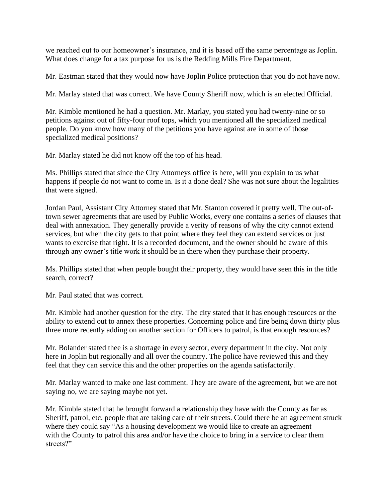we reached out to our homeowner's insurance, and it is based off the same percentage as Joplin. What does change for a tax purpose for us is the Redding Mills Fire Department.

Mr. Eastman stated that they would now have Joplin Police protection that you do not have now.

Mr. Marlay stated that was correct. We have County Sheriff now, which is an elected Official.

Mr. Kimble mentioned he had a question. Mr. Marlay, you stated you had twenty-nine or so petitions against out of fifty-four roof tops, which you mentioned all the specialized medical people. Do you know how many of the petitions you have against are in some of those specialized medical positions?

Mr. Marlay stated he did not know off the top of his head.

Ms. Phillips stated that since the City Attorneys office is here, will you explain to us what happens if people do not want to come in. Is it a done deal? She was not sure about the legalities that were signed.

Jordan Paul, Assistant City Attorney stated that Mr. Stanton covered it pretty well. The out-oftown sewer agreements that are used by Public Works, every one contains a series of clauses that deal with annexation. They generally provide a verity of reasons of why the city cannot extend services, but when the city gets to that point where they feel they can extend services or just wants to exercise that right. It is a recorded document, and the owner should be aware of this through any owner's title work it should be in there when they purchase their property.

Ms. Phillips stated that when people bought their property, they would have seen this in the title search, correct?

Mr. Paul stated that was correct.

Mr. Kimble had another question for the city. The city stated that it has enough resources or the ability to extend out to annex these properties. Concerning police and fire being down thirty plus three more recently adding on another section for Officers to patrol, is that enough resources?

Mr. Bolander stated thee is a shortage in every sector, every department in the city. Not only here in Joplin but regionally and all over the country. The police have reviewed this and they feel that they can service this and the other properties on the agenda satisfactorily.

Mr. Marlay wanted to make one last comment. They are aware of the agreement, but we are not saying no, we are saying maybe not yet.

Mr. Kimble stated that he brought forward a relationship they have with the County as far as Sheriff, patrol, etc. people that are taking care of their streets. Could there be an agreement struck where they could say "As a housing development we would like to create an agreement with the County to patrol this area and/or have the choice to bring in a service to clear them streets?"